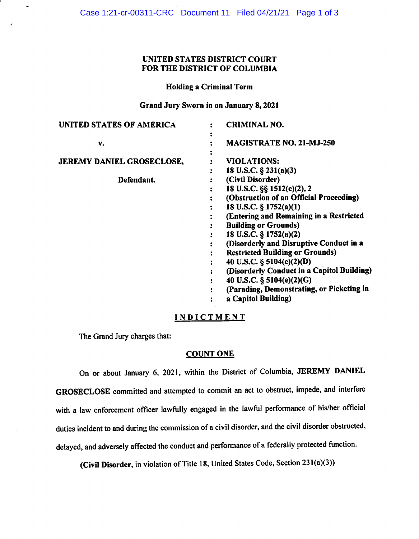# UNITED STATES DISTRICT COURT FOR THE DISTRICT OF COLUMBIA

Holding a Criminal Term

Grand Jury Sworn in on January 8, <sup>2021</sup>

| UNITED STATES OF AMERICA         | <b>CRIMINAL NO.</b>                        |
|----------------------------------|--------------------------------------------|
| v.                               | <b>MAGISTRATE NO. 21-MJ-250</b>            |
|                                  |                                            |
| <b>JEREMY DANIEL GROSECLOSE,</b> | <b>VIOLATIONS:</b>                         |
|                                  | 18 U.S.C. $\S$ 231(a)(3)                   |
| Defendant.                       | (Civil Disorder)                           |
|                                  | 18 U.S.C. §§ 1512(c)(2), 2                 |
|                                  | (Obstruction of an Official Proceeding)    |
|                                  | 18 U.S.C. § 1752(a)(1)                     |
|                                  | (Entering and Remaining in a Restricted    |
|                                  | <b>Building or Grounds)</b>                |
|                                  | 18 U.S.C. § 1752(a)(2)                     |
|                                  | (Disorderly and Disruptive Conduct in a    |
|                                  | <b>Restricted Building or Grounds)</b>     |
|                                  | 40 U.S.C. § 5104(e)(2)(D)                  |
|                                  | (Disorderly Conduct in a Capitol Building) |
|                                  | 40 U.S.C. § 5104(e)(2)(G)                  |
|                                  | (Parading, Demonstrating, or Picketing in  |
|                                  | a Capitol Building)                        |
|                                  |                                            |

### **INDICTMENT**

The Grand Jury charges that:

## **COUNT ONE**

On or about January 6, 2021, within the District of Columbia, **JEREMY DANIEL GROSECLOSE** committed and attempted to commit an act to obstruct, impede, and interfere with a law enforcement officer lawfully engaged in the lawful performance of his/her official duties incident to and during the commission of a civil disorder, and the civil disorder obstructed, delayed, and adversely affected the conduct and performance of a federally protected function.

**(Civil Disorder,** in violation of Title 18, United States Code, Section 23 l(a)(3))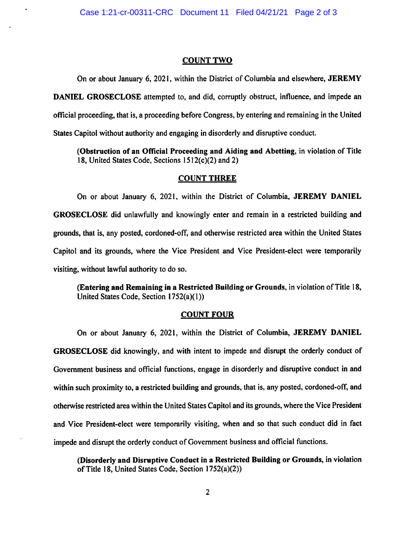#### **COUNT TWO**

On or about January 6, 2021, within the District of Columbia and elsewhere, **JEREMY DANIEL GROSECLOSE** attempted to, and did, corruptly obstruct, influence, and impede an official proceeding, that is, a proceeding before Congress, by entering and remaining in the United States Capitol without authority and engaging in disorderly and disruptive conduct.

**(Obstruction of an Official Proceeding and Aiding and Abetting,** in violation of Title 18, United States Code, Sections  $1512(c)(2)$  and 2)

#### **COUNT THREE**

On or about January 6, 2021, within the District of Columbia, **JEREMY DANIEL GROSECLOSE** did unlawfully and knowingly enter and remain in a restricted building and grounds, that is, any posted, cordoned-off, and otherwise restricted area within the United States Capitol and its grounds, where the Vice President and Vice President-elect were temporarily visiting, without lawful authority to do so.

**(Entering and Remaining in a Restricted Building or Grounds,** in violation of Title 18, United States Code, Section 1752(a)(1))

#### **COUNT FOUR**

On or about January 6, 2021, within the District of Columbia, **JEREMY DANIEL GROSECLOSE** did knowingly, and with intent to impede and disrupt the orderly conduct of Government business and official functions, engage in disorderly and disruptive conduct in and within such proximity to, a restricted building and grounds, that is, any posted, cordoned-off, and otherwise restricted area within the United States Capitol and its grounds, where the Vice President and Vice President-elect were temporarily visiting, when and so that such conduct did in fact impede and disrupt the orderly conduct of Government business and official functions.

**(Disorderly and Disruptive Conduct in a Restricted Building or Grounds,** in violation ofTitle 18, United States Code, Section 1752(a)(2))